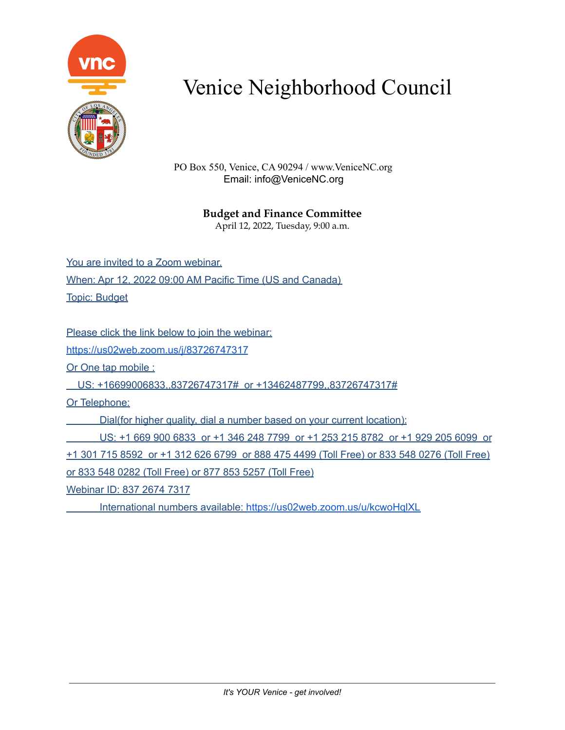

PO Box 550, Venice, CA 90294 / www.VeniceNC.org Email: info@VeniceNC.org

### **Budget and Finance Committee**

April 12, 2022, Tuesday, 9:00 a.m.

You are invited to a Zoom webinar. When: Apr 12, 2022 09:00 AM Pacific Time (US and Canada) Topic: Budget

Please click the link below to join the webinar:

<https://us02web.zoom.us/j/83726747317>

Or One tap mobile :

US: +16699006833,,83726747317# or +13462487799,,83726747317#

Or Telephone:

Dial(for higher quality, dial a number based on your current location):

US: +1 669 900 6833 or +1 346 248 7799 or +1 253 215 8782 or +1 929 205 6099 or +1 301 715 8592 or +1 312 626 6799 or 888 475 4499 (Toll Free) or 833 548 0276 (Toll Free) or 833 548 0282 (Toll Free) or 877 853 5257 (Toll Free)

Webinar ID: 837 2674 7317

International numbers available: <https://us02web.zoom.us/u/kcwoHqlXL>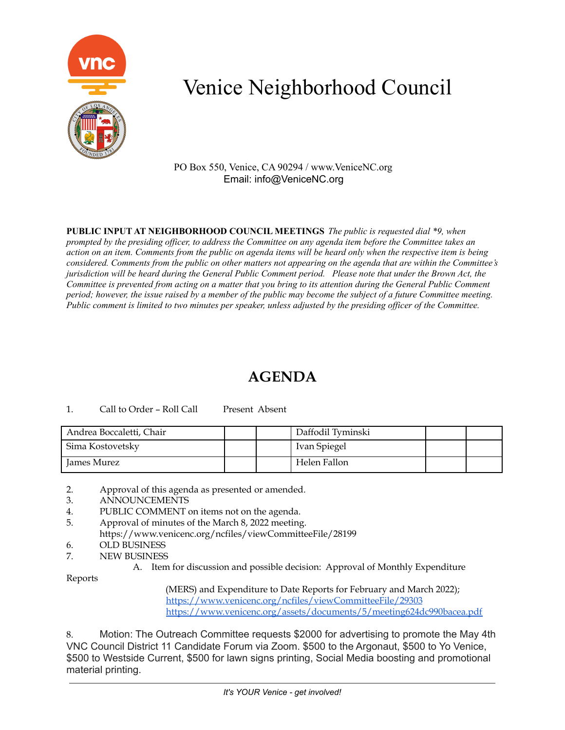

PO Box 550, Venice, CA 90294 / www.VeniceNC.org Email: info@VeniceNC.org

**PUBLIC INPUT AT NEIGHBORHOOD COUNCIL MEETINGS** *The public is requested dial \*9, when* prompted by the presiding officer, to address the Committee on any agenda item before the Committee takes an action on an item. Comments from the public on agenda items will be heard only when the respective item is being considered. Comments from the public on other matters not appearing on the agenda that are within the Committee's jurisdiction will be heard during the General Public Comment period. Please note that under the Brown Act, the Committee is prevented from acting on a matter that you bring to its attention during the General Public Comment period; however, the issue raised by a member of the public may become the subject of a future Committee meeting. Public comment is limited to two minutes per speaker, unless adjusted by the presiding officer of the Committee.

## **AGENDA**

### 1. Call to Order – Roll Call Present Absent

| Andrea Boccaletti, Chair |  | Daffodil Tyminski |  |
|--------------------------|--|-------------------|--|
| Sima Kostovetsky         |  | Ivan Spiegel      |  |
| James Murez              |  | Helen Fallon      |  |

2. Approval of this agenda as presented or amended.

- 3. ANNOUNCEMENTS
- 4. PUBLIC COMMENT on items not on the agenda.
- 5. Approval of minutes of the March 8, 2022 meeting.
- https://www.venicenc.org/ncfiles/viewCommitteeFile/28199
- 6. OLD BUSINESS
- 7. NEW BUSINESS
	- A. Item for discussion and possible decision: Approval of Monthly Expenditure

Reports

(MERS) and Expenditure to Date Reports for February and March 2022); <https://www.venicenc.org/ncfiles/viewCommitteeFile/29303> <https://www.venicenc.org/assets/documents/5/meeting624dc990bacea.pdf>

8. Motion: The Outreach Committee requests \$2000 for advertising to promote the May 4th VNC Council District 11 Candidate Forum via Zoom. \$500 to the Argonaut, \$500 to Yo Venice, \$500 to Westside Current, \$500 for lawn signs printing, Social Media boosting and promotional material printing.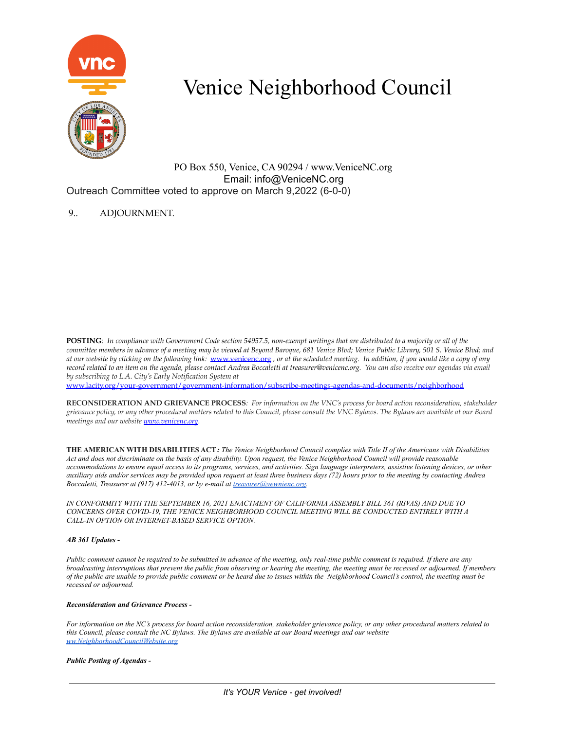

PO Box 550, Venice, CA 90294 / www.VeniceNC.org Email: info@VeniceNC.org Outreach Committee voted to approve on March 9,2022 (6-0-0)

### 9.. ADJOURNMENT.

POSTING: In compliance with Government Code section 54957.5, non-exempt writings that are distributed to a majority or all of the committee members in advance of a meeting may be viewed at Beyond Baroque, 681 Venice Blvd; Venice Public Library, 501 S. Venice Blvd; and at our website by clicking on the following link: [www.venicenc.org](http://www.venicenc.org), or at the scheduled meeting. In addition, if you would like a copy of any record related to an item on the agenda, please contact Andrea Boccaletti at treasurer@venicenc.org. You can also receive our agendas via email *by subscribing to L.A. City's Early Notification System at*

[www.lacity.org/your-government/government-information/subscribe-meetings-agendas-and-documents/neighborhood](http://www.lacity.org/your-government/government-information/subscribe-meetings-agendas-and-documents/neighborhood)

RECONSIDERATION AND GRIEVANCE PROCESS: For information on the VNC's process for board action reconsideration, stakeholder grievance policy, or any other procedural matters related to this Council, please consult the VNC Bylaws. The Bylaws are available at our Board *meetings and our website [www.venicenc.org.](http://www.venicenc.org)*

THE AMERICAN WITH DISABILITIES ACT: The Venice Neighborhood Council complies with Title II of the Americans with Disabilities Act and does not discriminate on the basis of any disability. Upon request, the Venice Neighborhood Council will provide reasonable accommodations to ensure equal access to its programs, services, and activities. Sign language interpreters, assistive listening devices, or other auxiliary aids and/or services may be provided upon request at least three business days (72) hours prior to the meeting by contacting Andrea *Boccaletti, Treasurer at (917) 412-4013, or by e-mail at [treasurer@vewnienc.org.](mailto:treasurer@vewnienc.org)*

*IN CONFORMITY WITH THE SEPTEMBER 16, 2021 ENACTMENT OF CALIFORNIA ASSEMBLY BILL 361 (RIVAS) AND DUE TO CONCERNS OVER COVID-19, THE VENICE NEIGHBORHOOD COUNCIL MEETING WILL BE CONDUCTED ENTIRELY WITH A CALL-IN OPTION OR INTERNET-BASED SERVICE OPTION.*

### *AB 361 Updates -*

Public comment cannot be required to be submitted in advance of the meeting, only real-time public comment is required. If there are any broadcasting interruptions that prevent the public from observing or hearing the meeting, the meeting must be recessed or adjourned. If members of the public are unable to provide public comment or be heard due to issues within the Neighborhood Council's control, the meeting must be *recessed or adjourned.*

#### *Reconsideration and Grievance Process -*

For information on the NC's process for board action reconsideration, stakeholder grievance policy, or any other procedural matters related to this Council, please consult the NC Bylaws. The Bylaws are available at our Board meetings and our website *[ww.NeighborhoodCouncilWebsite.org](http://ww.neighborhoodcouncilwebsite.org/)*

#### *Public Posting of Agendas -*